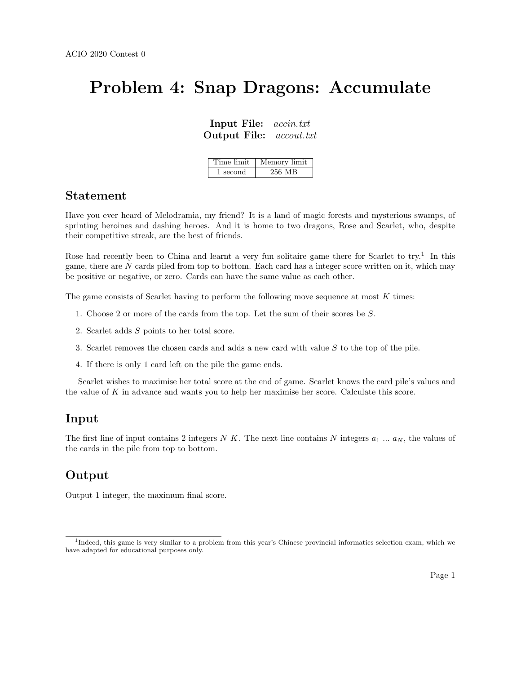# Problem 4: Snap Dragons: Accumulate

Input File: accin.txt Output File: accout.txt

| Time limit | Memory limit |
|------------|--------------|
| 1 second   | 256 MB       |

#### Statement

Have you ever heard of Melodramia, my friend? It is a land of magic forests and mysterious swamps, of sprinting heroines and dashing heroes. And it is home to two dragons, Rose and Scarlet, who, despite their competitive streak, are the best of friends.

Rose had recently been to China and learnt a very fun solitaire game there for Scarlet to try.<sup>1</sup> In this game, there are  $N$  cards piled from top to bottom. Each card has a integer score written on it, which may be positive or negative, or zero. Cards can have the same value as each other.

The game consists of Scarlet having to perform the following move sequence at most  $K$  times:

- 1. Choose 2 or more of the cards from the top. Let the sum of their scores be S.
- 2. Scarlet adds S points to her total score.
- 3. Scarlet removes the chosen cards and adds a new card with value S to the top of the pile.
- 4. If there is only 1 card left on the pile the game ends.

Scarlet wishes to maximise her total score at the end of game. Scarlet knows the card pile's values and the value of K in advance and wants you to help her maximise her score. Calculate this score.

### Input

The first line of input contains 2 integers N K. The next line contains N integers  $a_1 \dots a_N$ , the values of the cards in the pile from top to bottom.

### Output

Output 1 integer, the maximum final score.

<sup>&</sup>lt;sup>1</sup>Indeed, this game is very similar to a problem from this year's Chinese provincial informatics selection exam, which we have adapted for educational purposes only.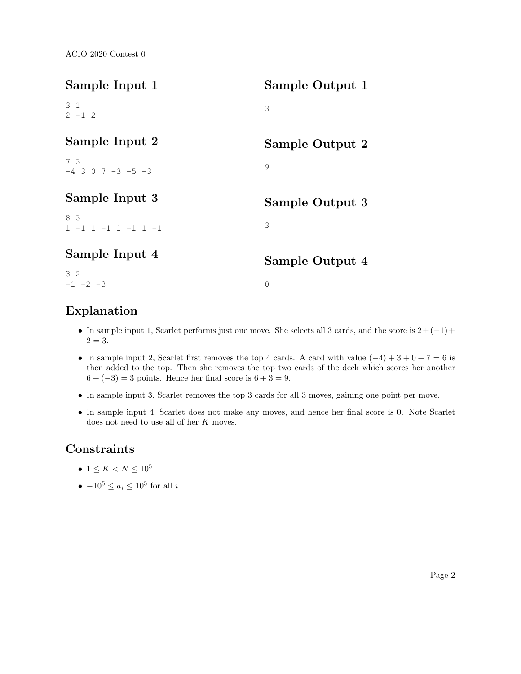| Sample Input 1                   | Sample Output 1 |
|----------------------------------|-----------------|
| 3 <sub>1</sub><br>$2 - 1 2$      | 3               |
| Sample Input 2                   | Sample Output 2 |
| 73<br>$-4$ 3 0 7 -3 -5 -3        | 9               |
| Sample Input 3                   | Sample Output 3 |
| 8 3<br>$1 - 1 1 - 1 1 - 1 1 - 1$ | 3               |
| Sample Input 4                   | Sample Output 4 |
| 32<br>$-1$ $-2$ $-3$             | $\mathbf 0$     |

## Explanation

- In sample input 1, Scarlet performs just one move. She selects all 3 cards, and the score is  $2+(-1)+$  $2 = 3.$
- In sample input 2, Scarlet first removes the top 4 cards. A card with value  $(-4) + 3 + 0 + 7 = 6$  is then added to the top. Then she removes the top two cards of the deck which scores her another  $6 + (-3) = 3$  points. Hence her final score is  $6 + 3 = 9$ .
- In sample input 3, Scarlet removes the top 3 cards for all 3 moves, gaining one point per move.
- In sample input 4, Scarlet does not make any moves, and hence her final score is 0. Note Scarlet does not need to use all of her K moves.

## **Constraints**

- $1 \leq K < N \leq 10^5$
- $-10^5 \leq a_i \leq 10^5$  for all i